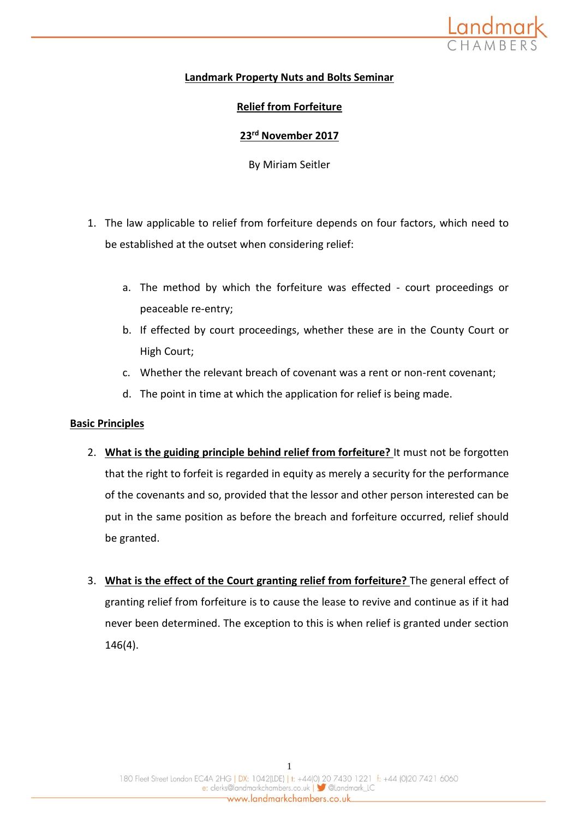

## **Landmark Property Nuts and Bolts Seminar**

## **Relief from Forfeiture**

## **23rd November 2017**

By Miriam Seitler

- 1. The law applicable to relief from forfeiture depends on four factors, which need to be established at the outset when considering relief:
	- a. The method by which the forfeiture was effected court proceedings or peaceable re-entry;
	- b. If effected by court proceedings, whether these are in the County Court or High Court;
	- c. Whether the relevant breach of covenant was a rent or non-rent covenant;
	- d. The point in time at which the application for relief is being made.

## **Basic Principles**

- 2. **What is the guiding principle behind relief from forfeiture?** It must not be forgotten that the right to forfeit is regarded in equity as merely a security for the performance of the covenants and so, provided that the lessor and other person interested can be put in the same position as before the breach and forfeiture occurred, relief should be granted.
- 3. **What is the effect of the Court granting relief from forfeiture?** The general effect of granting relief from forfeiture is to cause the lease to revive and continue as if it had never been determined. The exception to this is when relief is granted under section 146(4).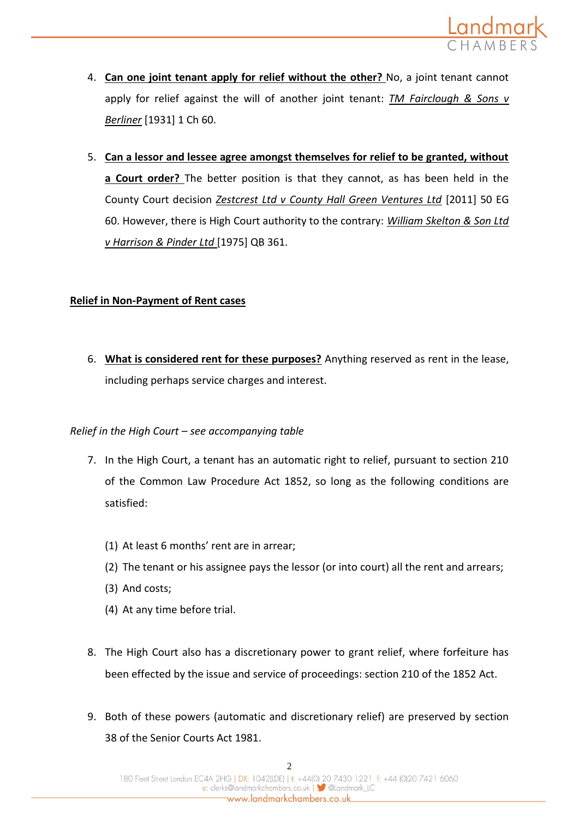

- 4. **Can one joint tenant apply for relief without the other?** No, a joint tenant cannot apply for relief against the will of another joint tenant: *TM Fairclough & Sons v Berliner* [1931] 1 Ch 60.
- 5. **Can a lessor and lessee agree amongst themselves for relief to be granted, without a Court order?** The better position is that they cannot, as has been held in the County Court decision *Zestcrest Ltd v County Hall Green Ventures Ltd* [2011] 50 EG 60. However, there is High Court authority to the contrary: *William Skelton & Son Ltd v Harrison & Pinder Ltd* [1975] QB 361.

### **Relief in Non-Payment of Rent cases**

6. **What is considered rent for these purposes?** Anything reserved as rent in the lease, including perhaps service charges and interest.

## *Relief in the High Court – see accompanying table*

- 7. In the High Court, a tenant has an automatic right to relief, pursuant to section 210 of the Common Law Procedure Act 1852, so long as the following conditions are satisfied:
	- (1) At least 6 months' rent are in arrear;
	- (2) The tenant or his assignee pays the lessor (or into court) all the rent and arrears;
	- (3) And costs;
	- (4) At any time before trial.
- 8. The High Court also has a discretionary power to grant relief, where forfeiture has been effected by the issue and service of proceedings: section 210 of the 1852 Act.
- 9. Both of these powers (automatic and discretionary relief) are preserved by section 38 of the Senior Courts Act 1981.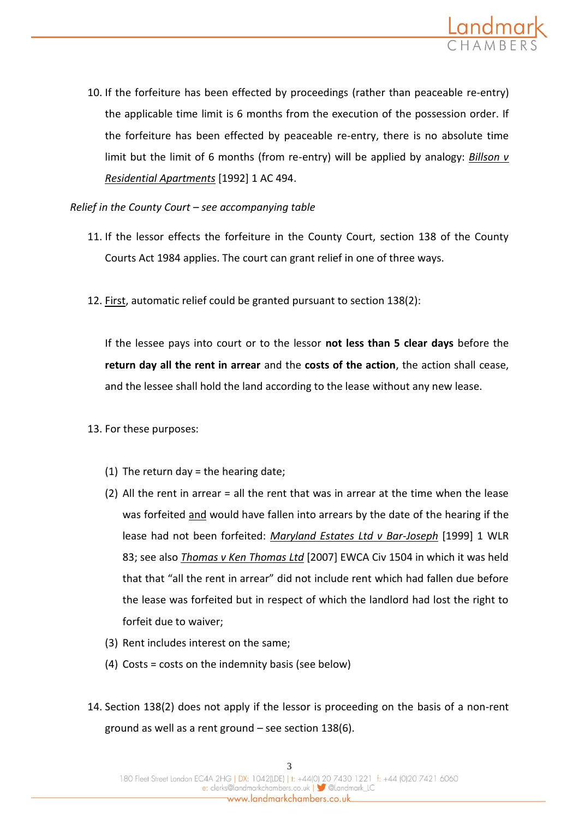

10. If the forfeiture has been effected by proceedings (rather than peaceable re-entry) the applicable time limit is 6 months from the execution of the possession order. If the forfeiture has been effected by peaceable re-entry, there is no absolute time limit but the limit of 6 months (from re-entry) will be applied by analogy: *Billson v Residential Apartments* [1992] 1 AC 494.

*Relief in the County Court – see accompanying table* 

- 11. If the lessor effects the forfeiture in the County Court, section 138 of the County Courts Act 1984 applies. The court can grant relief in one of three ways.
- 12. First, automatic relief could be granted pursuant to section 138(2):

If the lessee pays into court or to the lessor **not less than 5 clear days** before the **return day all the rent in arrear** and the **costs of the action**, the action shall cease, and the lessee shall hold the land according to the lease without any new lease.

- 13. For these purposes:
	- (1) The return day = the hearing date;
	- (2) All the rent in arrear = all the rent that was in arrear at the time when the lease was forfeited and would have fallen into arrears by the date of the hearing if the lease had not been forfeited: *Maryland Estates Ltd v Bar-Joseph* [1999] 1 WLR 83; see also *Thomas v Ken Thomas Ltd* [2007] EWCA Civ 1504 in which it was held that that "all the rent in arrear" did not include rent which had fallen due before the lease was forfeited but in respect of which the landlord had lost the right to forfeit due to waiver;
	- (3) Rent includes interest on the same;
	- (4) Costs = costs on the indemnity basis (see below)
- 14. Section 138(2) does not apply if the lessor is proceeding on the basis of a non-rent ground as well as a rent ground – see section 138(6).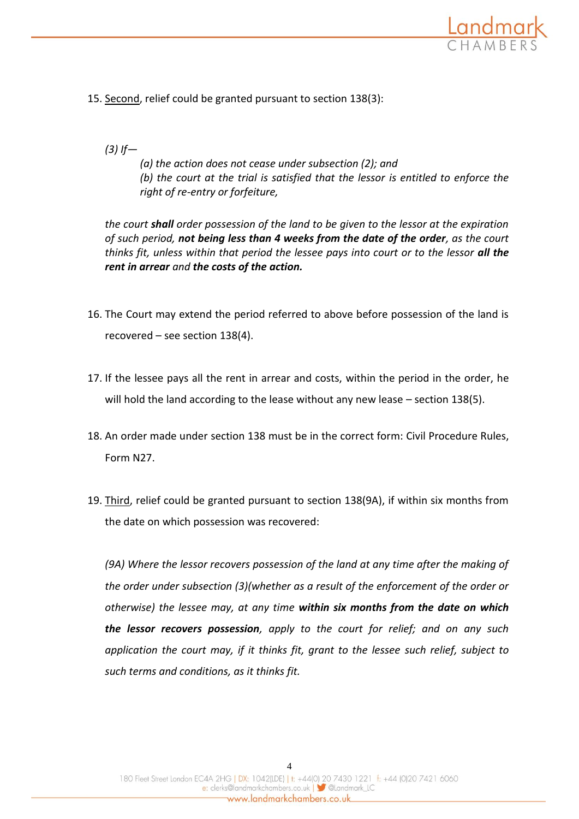

15. Second, relief could be granted pursuant to section 138(3):

# *(3) If—*

*(a) the action does not cease under subsection (2); and (b) the court at the trial is satisfied that the lessor is entitled to enforce the right of re-entry or forfeiture,*

*the court shall order possession of the land to be given to the lessor at the expiration of such period, not being less than 4 weeks from the date of the order, as the court thinks fit, unless within that period the lessee pays into court or to the lessor all the rent in arrear and the costs of the action.*

- 16. The Court may extend the period referred to above before possession of the land is recovered – see section 138(4).
- 17. If the lessee pays all the rent in arrear and costs, within the period in the order, he will hold the land according to the lease without any new lease – section 138(5).
- 18. An order made under section 138 must be in the correct form: Civil Procedure Rules, Form N27.
- 19. Third, relief could be granted pursuant to section 138(9A), if within six months from the date on which possession was recovered:

*(9A) Where the lessor recovers possession of the land at any time after the making of the order under subsection (3)(whether as a result of the enforcement of the order or otherwise) the lessee may, at any time within six months from the date on which the lessor recovers possession, apply to the court for relief; and on any such application the court may, if it thinks fit, grant to the lessee such relief, subject to such terms and conditions, as it thinks fit.*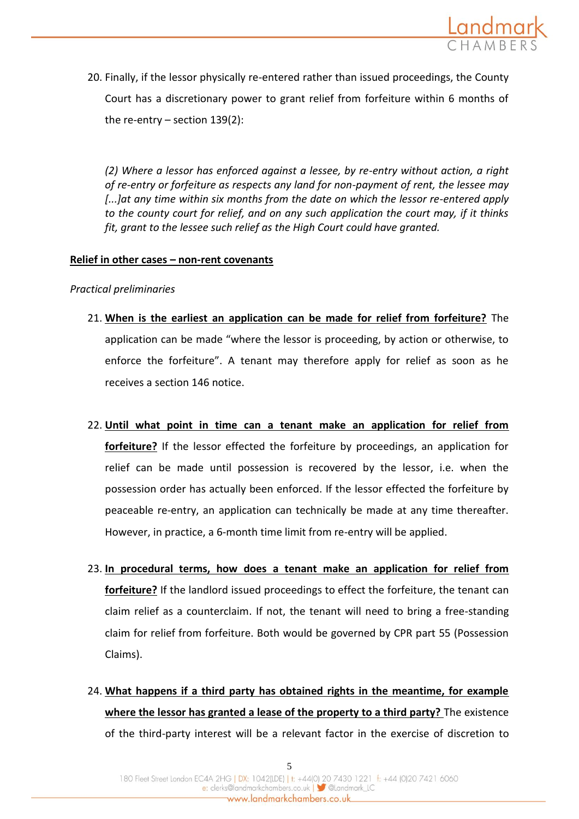

20. Finally, if the lessor physically re-entered rather than issued proceedings, the County Court has a discretionary power to grant relief from forfeiture within 6 months of the re-entry – section 139(2):

*(2) Where a lessor has enforced against a lessee, by re-entry without action, a right of re-entry or forfeiture as respects any land for non-payment of rent, the lessee may [...]at any time within six months from the date on which the lessor re-entered apply to the county court for relief, and on any such application the court may, if it thinks fit, grant to the lessee such relief as the High Court could have granted.* 

### **Relief in other cases – non-rent covenants**

*Practical preliminaries*

- 21. **When is the earliest an application can be made for relief from forfeiture?** The application can be made "where the lessor is proceeding, by action or otherwise, to enforce the forfeiture". A tenant may therefore apply for relief as soon as he receives a section 146 notice.
- 22. **Until what point in time can a tenant make an application for relief from forfeiture?** If the lessor effected the forfeiture by proceedings, an application for relief can be made until possession is recovered by the lessor, i.e. when the possession order has actually been enforced. If the lessor effected the forfeiture by peaceable re-entry, an application can technically be made at any time thereafter. However, in practice, a 6-month time limit from re-entry will be applied.
- 23. **In procedural terms, how does a tenant make an application for relief from forfeiture?** If the landlord issued proceedings to effect the forfeiture, the tenant can claim relief as a counterclaim. If not, the tenant will need to bring a free-standing claim for relief from forfeiture. Both would be governed by CPR part 55 (Possession Claims).
- 24. **What happens if a third party has obtained rights in the meantime, for example where the lessor has granted a lease of the property to a third party?** The existence of the third-party interest will be a relevant factor in the exercise of discretion to

5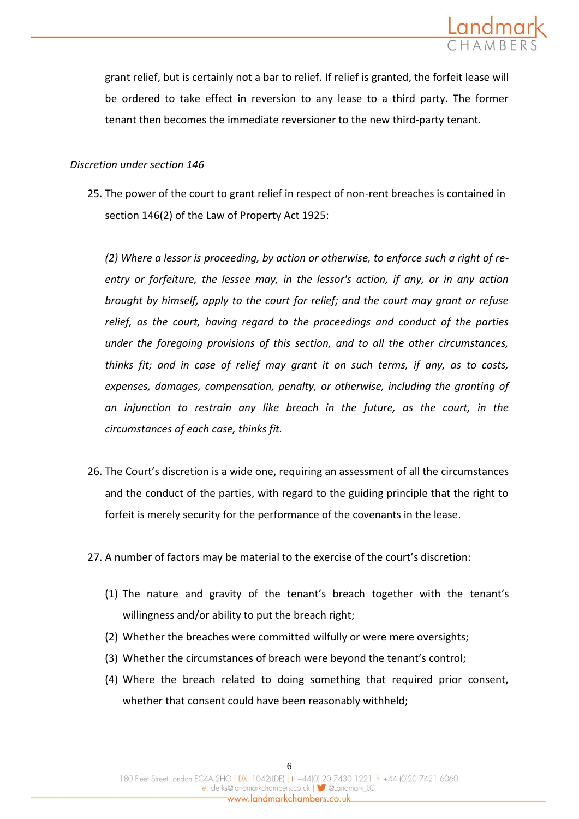

grant relief, but is certainly not a bar to relief. If relief is granted, the forfeit lease will be ordered to take effect in reversion to any lease to a third party. The former tenant then becomes the immediate reversioner to the new third-party tenant.

### *Discretion under section 146*

25. The power of the court to grant relief in respect of non-rent breaches is contained in section 146(2) of the Law of Property Act 1925:

*(2) Where a lessor is proceeding, by action or otherwise, to enforce such a right of reentry or forfeiture, the lessee may, in the lessor's action, if any, or in any action brought by himself, apply to the court for relief; and the court may grant or refuse relief, as the court, having regard to the proceedings and conduct of the parties under the foregoing provisions of this section, and to all the other circumstances, thinks fit; and in case of relief may grant it on such terms, if any, as to costs, expenses, damages, compensation, penalty, or otherwise, including the granting of an injunction to restrain any like breach in the future, as the court, in the circumstances of each case, thinks fit.*

- 26. The Court's discretion is a wide one, requiring an assessment of all the circumstances and the conduct of the parties, with regard to the guiding principle that the right to forfeit is merely security for the performance of the covenants in the lease.
- 27. A number of factors may be material to the exercise of the court's discretion:
	- (1) The nature and gravity of the tenant's breach together with the tenant's willingness and/or ability to put the breach right;
	- (2) Whether the breaches were committed wilfully or were mere oversights;
	- (3) Whether the circumstances of breach were beyond the tenant's control;
	- (4) Where the breach related to doing something that required prior consent, whether that consent could have been reasonably withheld;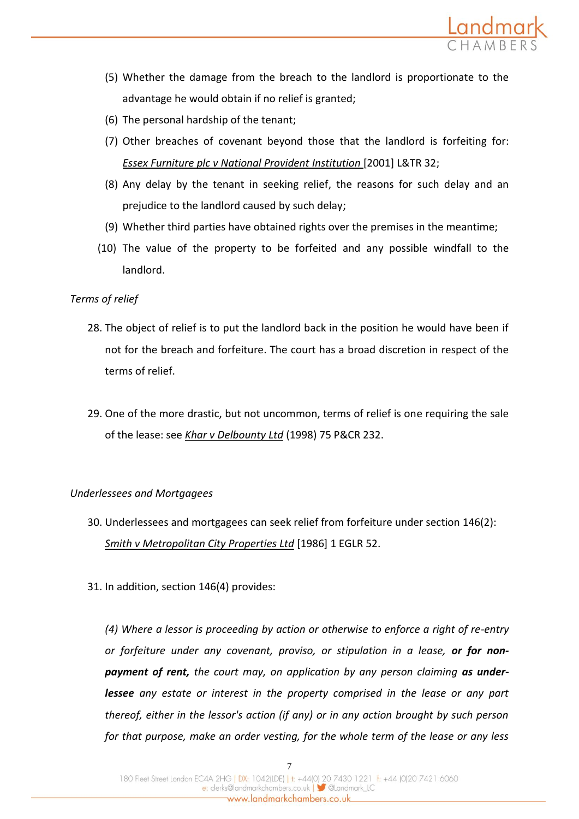

- (5) Whether the damage from the breach to the landlord is proportionate to the advantage he would obtain if no relief is granted;
- (6) The personal hardship of the tenant;
- (7) Other breaches of covenant beyond those that the landlord is forfeiting for: *Essex Furniture plc v National Provident Institution* [2001] L&TR 32;
- (8) Any delay by the tenant in seeking relief, the reasons for such delay and an prejudice to the landlord caused by such delay;
- (9) Whether third parties have obtained rights over the premises in the meantime;
- (10) The value of the property to be forfeited and any possible windfall to the landlord.

### *Terms of relief*

- 28. The object of relief is to put the landlord back in the position he would have been if not for the breach and forfeiture. The court has a broad discretion in respect of the terms of relief.
- 29. One of the more drastic, but not uncommon, terms of relief is one requiring the sale of the lease: see *Khar v Delbounty Ltd* (1998) 75 P&CR 232.

#### *Underlessees and Mortgagees*

- 30. Underlessees and mortgagees can seek relief from forfeiture under section 146(2): *Smith v Metropolitan City Properties Ltd* [1986] 1 EGLR 52.
- 31. In addition, section 146(4) provides:

*(4) Where a lessor is proceeding by action or otherwise to enforce a right of re-entry or forfeiture under any covenant, proviso, or stipulation in a lease, or for nonpayment of rent, the court may, on application by any person claiming as underlessee any estate or interest in the property comprised in the lease or any part thereof, either in the lessor's action (if any) or in any action brought by such person for that purpose, make an order vesting, for the whole term of the lease or any less*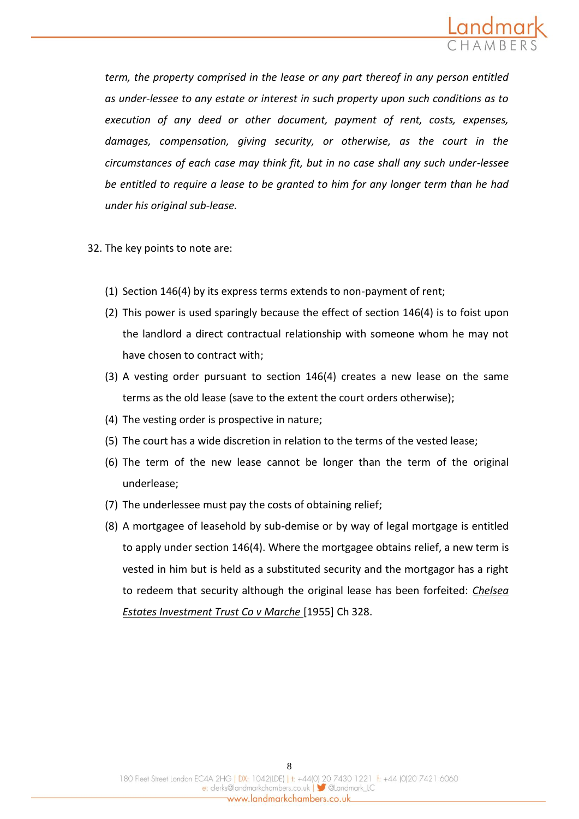

*term, the property comprised in the lease or any part thereof in any person entitled as under-lessee to any estate or interest in such property upon such conditions as to execution of any deed or other document, payment of rent, costs, expenses, damages, compensation, giving security, or otherwise, as the court in the circumstances of each case may think fit, but in no case shall any such under-lessee be entitled to require a lease to be granted to him for any longer term than he had under his original sub-lease.*

32. The key points to note are:

- (1) Section 146(4) by its express terms extends to non-payment of rent;
- (2) This power is used sparingly because the effect of section 146(4) is to foist upon the landlord a direct contractual relationship with someone whom he may not have chosen to contract with;
- (3) A vesting order pursuant to section 146(4) creates a new lease on the same terms as the old lease (save to the extent the court orders otherwise);
- (4) The vesting order is prospective in nature;
- (5) The court has a wide discretion in relation to the terms of the vested lease;
- (6) The term of the new lease cannot be longer than the term of the original underlease;
- (7) The underlessee must pay the costs of obtaining relief;
- (8) A mortgagee of leasehold by sub-demise or by way of legal mortgage is entitled to apply under section 146(4). Where the mortgagee obtains relief, a new term is vested in him but is held as a substituted security and the mortgagor has a right to redeem that security although the original lease has been forfeited: *Chelsea Estates Investment Trust Co v Marche* [1955] Ch 328.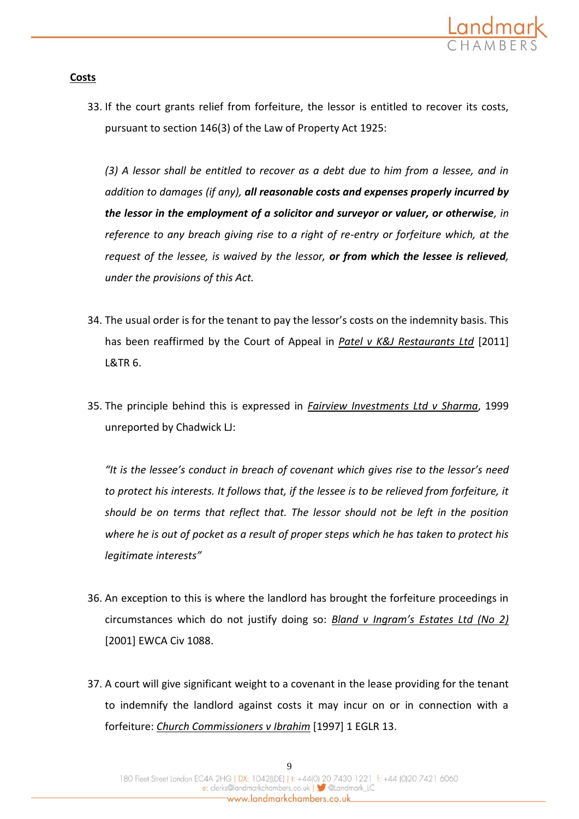

### **Costs**

33. If the court grants relief from forfeiture, the lessor is entitled to recover its costs, pursuant to section 146(3) of the Law of Property Act 1925:

*(3) A lessor shall be entitled to recover as a debt due to him from a lessee, and in addition to damages (if any), all reasonable costs and expenses properly incurred by the lessor in the employment of a solicitor and surveyor or valuer, or otherwise, in reference to any breach giving rise to a right of re-entry or forfeiture which, at the request of the lessee, is waived by the lessor, or from which the lessee is relieved, under the provisions of this Act.*

- 34. The usual order is for the tenant to pay the lessor's costs on the indemnity basis. This has been reaffirmed by the Court of Appeal in *Patel v K&J Restaurants Ltd* [2011] L&TR 6.
- 35. The principle behind this is expressed in *Fairview Investments Ltd v Sharma*, 1999 unreported by Chadwick LJ:

*"It is the lessee's conduct in breach of covenant which gives rise to the lessor's need to protect his interests. It follows that, if the lessee is to be relieved from forfeiture, it should be on terms that reflect that. The lessor should not be left in the position where he is out of pocket as a result of proper steps which he has taken to protect his legitimate interests"*

- 36. An exception to this is where the landlord has brought the forfeiture proceedings in circumstances which do not justify doing so: *Bland v Ingram's Estates Ltd (No 2)*  [2001] EWCA Civ 1088.
- 37. A court will give significant weight to a covenant in the lease providing for the tenant to indemnify the landlord against costs it may incur on or in connection with a forfeiture: *Church Commissioners v Ibrahim* [1997] 1 EGLR 13.